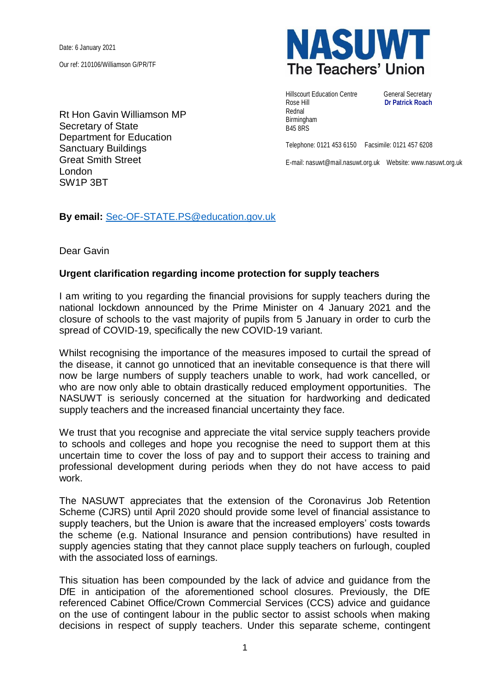Date: 6 January 2021

Our ref: 210106/Williamson G/PR/TF

Rt Hon Gavin Williamson MP Secretary of State Department for Education Sanctuary Buildings Great Smith Street London SW1P 3BT



Hillscourt Education Centre **General Secretary** Rose Hill **Dr Patrick Roach** Rednal Birmingham B45 8RS

Telephone: 0121 453 6150 Facsimile: 0121 457 6208

E-mail: nasuwt@mail.nasuwt.org.uk Website: www.nasuwt.org.uk

**By email:** [Sec-OF-STATE.PS@education.gov.uk](mailto:Sec-OF-STATE.PS@education.gov.uk)

Dear Gavin

## **Urgent clarification regarding income protection for supply teachers**

I am writing to you regarding the financial provisions for supply teachers during the national lockdown announced by the Prime Minister on 4 January 2021 and the closure of schools to the vast majority of pupils from 5 January in order to curb the spread of COVID-19, specifically the new COVID-19 variant.

Whilst recognising the importance of the measures imposed to curtail the spread of the disease, it cannot go unnoticed that an inevitable consequence is that there will now be large numbers of supply teachers unable to work, had work cancelled, or who are now only able to obtain drastically reduced employment opportunities. The NASUWT is seriously concerned at the situation for hardworking and dedicated supply teachers and the increased financial uncertainty they face.

We trust that you recognise and appreciate the vital service supply teachers provide to schools and colleges and hope you recognise the need to support them at this uncertain time to cover the loss of pay and to support their access to training and professional development during periods when they do not have access to paid work.

The NASUWT appreciates that the extension of the Coronavirus Job Retention Scheme (CJRS) until April 2020 should provide some level of financial assistance to supply teachers, but the Union is aware that the increased employers' costs towards the scheme (e.g. National Insurance and pension contributions) have resulted in supply agencies stating that they cannot place supply teachers on furlough, coupled with the associated loss of earnings.

This situation has been compounded by the lack of advice and guidance from the DfE in anticipation of the aforementioned school closures. Previously, the DfE referenced Cabinet Office/Crown Commercial Services (CCS) advice and guidance on the use of contingent labour in the public sector to assist schools when making decisions in respect of supply teachers. Under this separate scheme, contingent